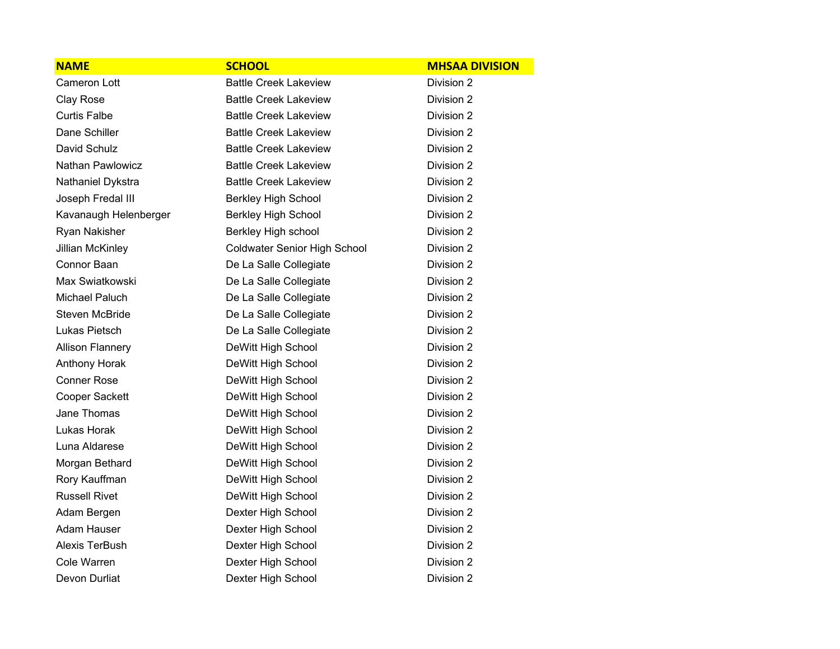| <b>NAME</b>             | <b>SCHOOL</b>                       | <b>MHSAA DIVISION</b> |
|-------------------------|-------------------------------------|-----------------------|
| <b>Cameron Lott</b>     | <b>Battle Creek Lakeview</b>        | Division 2            |
| Clay Rose               | <b>Battle Creek Lakeview</b>        | Division 2            |
| <b>Curtis Falbe</b>     | <b>Battle Creek Lakeview</b>        | Division 2            |
| Dane Schiller           | <b>Battle Creek Lakeview</b>        | Division 2            |
| David Schulz            | <b>Battle Creek Lakeview</b>        | Division 2            |
| Nathan Pawlowicz        | <b>Battle Creek Lakeview</b>        | Division 2            |
| Nathaniel Dykstra       | <b>Battle Creek Lakeview</b>        | Division 2            |
| Joseph Fredal III       | <b>Berkley High School</b>          | Division 2            |
| Kavanaugh Helenberger   | <b>Berkley High School</b>          | Division 2            |
| Ryan Nakisher           | Berkley High school                 | Division 2            |
| Jillian McKinley        | <b>Coldwater Senior High School</b> | Division 2            |
| Connor Baan             | De La Salle Collegiate              | Division 2            |
| Max Swiatkowski         | De La Salle Collegiate              | Division 2            |
| Michael Paluch          | De La Salle Collegiate              | Division 2            |
| <b>Steven McBride</b>   | De La Salle Collegiate              | Division 2            |
| Lukas Pietsch           | De La Salle Collegiate              | Division 2            |
| <b>Allison Flannery</b> | DeWitt High School                  | Division 2            |
| <b>Anthony Horak</b>    | DeWitt High School                  | Division 2            |
| <b>Conner Rose</b>      | DeWitt High School                  | Division 2            |
| Cooper Sackett          | DeWitt High School                  | Division 2            |
| Jane Thomas             | DeWitt High School                  | Division 2            |
| Lukas Horak             | DeWitt High School                  | Division 2            |
| Luna Aldarese           | DeWitt High School                  | Division 2            |
| Morgan Bethard          | DeWitt High School                  | Division 2            |
| Rory Kauffman           | DeWitt High School                  | Division 2            |
| <b>Russell Rivet</b>    | DeWitt High School                  | Division 2            |
| Adam Bergen             | Dexter High School                  | Division 2            |
| Adam Hauser             | Dexter High School                  | Division 2            |
| Alexis TerBush          | Dexter High School                  | Division 2            |
| Cole Warren             | Dexter High School                  | Division 2            |
| Devon Durliat           | Dexter High School                  | Division 2            |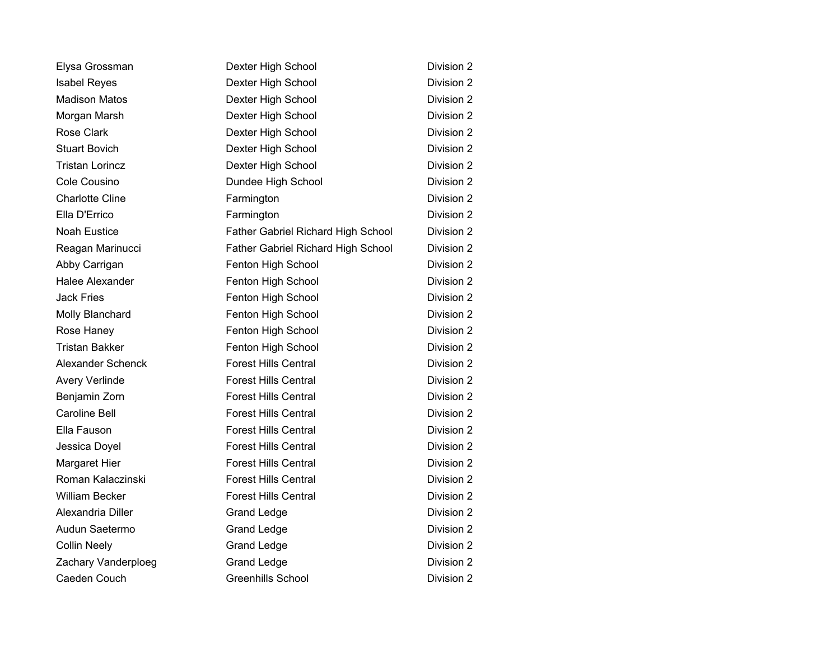| Elysa Grossman         | Dexter High School                 | Division 2 |
|------------------------|------------------------------------|------------|
| <b>Isabel Reyes</b>    | Dexter High School                 | Division 2 |
| <b>Madison Matos</b>   | Dexter High School                 | Division 2 |
| Morgan Marsh           | Dexter High School                 | Division 2 |
| <b>Rose Clark</b>      | Dexter High School                 | Division 2 |
| <b>Stuart Bovich</b>   | Dexter High School                 | Division 2 |
| <b>Tristan Lorincz</b> | Dexter High School                 | Division 2 |
| Cole Cousino           | Dundee High School                 | Division 2 |
| <b>Charlotte Cline</b> | Farmington                         | Division 2 |
| Ella D'Errico          | Farmington                         | Division 2 |
| <b>Noah Eustice</b>    | Father Gabriel Richard High School | Division 2 |
| Reagan Marinucci       | Father Gabriel Richard High School | Division 2 |
| Abby Carrigan          | Fenton High School                 | Division 2 |
| <b>Halee Alexander</b> | Fenton High School                 | Division 2 |
| <b>Jack Fries</b>      | Fenton High School                 | Division 2 |
| Molly Blanchard        | Fenton High School                 | Division 2 |
| Rose Haney             | Fenton High School                 | Division 2 |
| <b>Tristan Bakker</b>  | Fenton High School                 | Division 2 |
| Alexander Schenck      | <b>Forest Hills Central</b>        | Division 2 |
| Avery Verlinde         | <b>Forest Hills Central</b>        | Division 2 |
| Benjamin Zorn          | <b>Forest Hills Central</b>        | Division 2 |
| <b>Caroline Bell</b>   | <b>Forest Hills Central</b>        | Division 2 |
| Ella Fauson            | <b>Forest Hills Central</b>        | Division 2 |
| Jessica Doyel          | <b>Forest Hills Central</b>        | Division 2 |
| Margaret Hier          | <b>Forest Hills Central</b>        | Division 2 |
| Roman Kalaczinski      | <b>Forest Hills Central</b>        | Division 2 |
| <b>William Becker</b>  | <b>Forest Hills Central</b>        | Division 2 |
| Alexandria Diller      | <b>Grand Ledge</b>                 | Division 2 |
| Audun Saetermo         | <b>Grand Ledge</b>                 | Division 2 |
| <b>Collin Neely</b>    | <b>Grand Ledge</b>                 | Division 2 |
| Zachary Vanderploeg    | <b>Grand Ledge</b>                 | Division 2 |
| Caeden Couch           | <b>Greenhills School</b>           | Division 2 |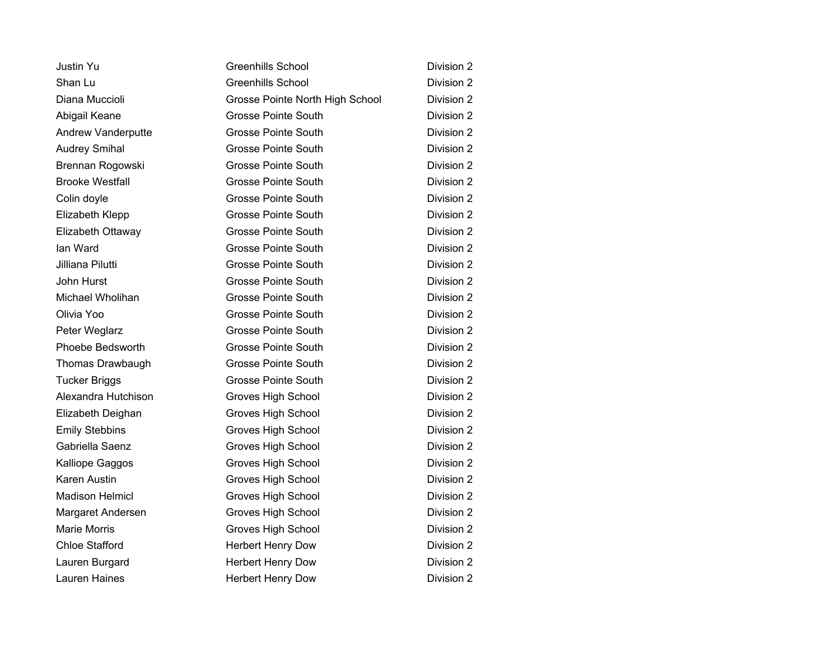| <b>Justin Yu</b>          | <b>Greenhills School</b>        | Division 2 |
|---------------------------|---------------------------------|------------|
| Shan Lu                   | <b>Greenhills School</b>        | Division 2 |
| Diana Muccioli            | Grosse Pointe North High School | Division 2 |
| Abigail Keane             | <b>Grosse Pointe South</b>      | Division 2 |
| <b>Andrew Vanderputte</b> | <b>Grosse Pointe South</b>      | Division 2 |
| <b>Audrey Smihal</b>      | Grosse Pointe South             | Division 2 |
| Brennan Rogowski          | <b>Grosse Pointe South</b>      | Division 2 |
| <b>Brooke Westfall</b>    | Grosse Pointe South             | Division 2 |
| Colin doyle               | <b>Grosse Pointe South</b>      | Division 2 |
| Elizabeth Klepp           | Grosse Pointe South             | Division 2 |
| Elizabeth Ottaway         | <b>Grosse Pointe South</b>      | Division 2 |
| lan Ward                  | <b>Grosse Pointe South</b>      | Division 2 |
| Jilliana Pilutti          | <b>Grosse Pointe South</b>      | Division 2 |
| John Hurst                | <b>Grosse Pointe South</b>      | Division 2 |
| Michael Wholihan          | <b>Grosse Pointe South</b>      | Division 2 |
| Olivia Yoo                | <b>Grosse Pointe South</b>      | Division 2 |
| Peter Weglarz             | <b>Grosse Pointe South</b>      | Division 2 |
| Phoebe Bedsworth          | <b>Grosse Pointe South</b>      | Division 2 |
| Thomas Drawbaugh          | Grosse Pointe South             | Division 2 |
| <b>Tucker Briggs</b>      | <b>Grosse Pointe South</b>      | Division 2 |
| Alexandra Hutchison       | Groves High School              | Division 2 |
| Elizabeth Deighan         | Groves High School              | Division 2 |
| <b>Emily Stebbins</b>     | Groves High School              | Division 2 |
| Gabriella Saenz           | Groves High School              | Division 2 |
| Kalliope Gaggos           | Groves High School              | Division 2 |
| Karen Austin              | Groves High School              | Division 2 |
| <b>Madison Helmicl</b>    | Groves High School              | Division 2 |
| Margaret Andersen         | Groves High School              | Division 2 |
| <b>Marie Morris</b>       | Groves High School              | Division 2 |
| <b>Chloe Stafford</b>     | <b>Herbert Henry Dow</b>        | Division 2 |
| Lauren Burgard            | <b>Herbert Henry Dow</b>        | Division 2 |
| <b>Lauren Haines</b>      | <b>Herbert Henry Dow</b>        | Division 2 |
|                           |                                 |            |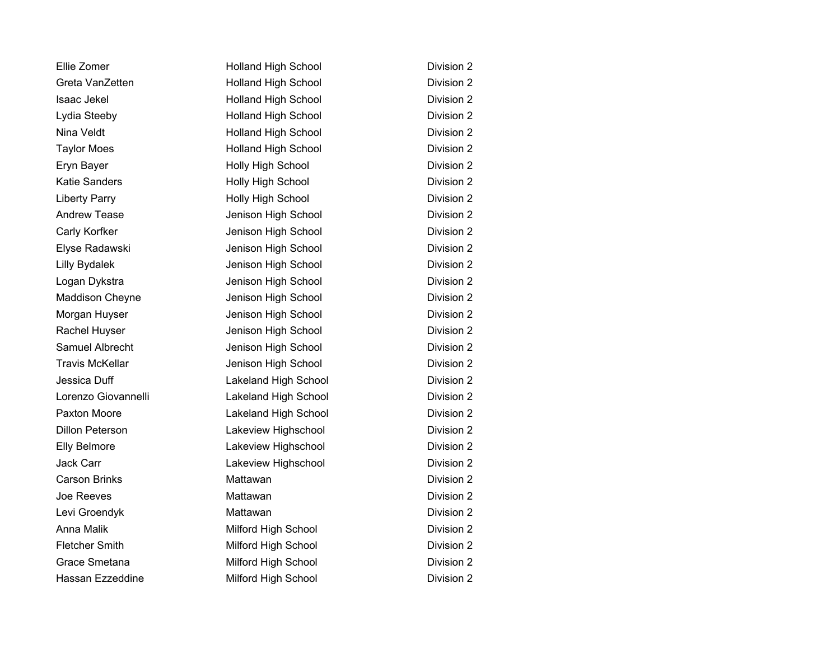| Ellie Zomer            | <b>Holland High School</b> | Division 2 |
|------------------------|----------------------------|------------|
| Greta VanZetten        | <b>Holland High School</b> | Division 2 |
| Isaac Jekel            | <b>Holland High School</b> | Division 2 |
| Lydia Steeby           | <b>Holland High School</b> | Division 2 |
| Nina Veldt             | <b>Holland High School</b> | Division 2 |
| <b>Taylor Moes</b>     | <b>Holland High School</b> | Division 2 |
| Eryn Bayer             | Holly High School          | Division 2 |
| <b>Katie Sanders</b>   | Holly High School          | Division 2 |
| <b>Liberty Parry</b>   | Holly High School          | Division 2 |
| <b>Andrew Tease</b>    | Jenison High School        | Division 2 |
| Carly Korfker          | Jenison High School        | Division 2 |
| Elyse Radawski         | Jenison High School        | Division 2 |
| <b>Lilly Bydalek</b>   | Jenison High School        | Division 2 |
| Logan Dykstra          | Jenison High School        | Division 2 |
| <b>Maddison Cheyne</b> | Jenison High School        | Division 2 |
| Morgan Huyser          | Jenison High School        | Division 2 |
| Rachel Huyser          | Jenison High School        | Division 2 |
| Samuel Albrecht        | Jenison High School        | Division 2 |
| <b>Travis McKellar</b> | Jenison High School        | Division 2 |
| Jessica Duff           | Lakeland High School       | Division 2 |
| Lorenzo Giovannelli    | Lakeland High School       | Division 2 |
| Paxton Moore           | Lakeland High School       | Division 2 |
| <b>Dillon Peterson</b> | Lakeview Highschool        | Division 2 |
| <b>Elly Belmore</b>    | Lakeview Highschool        | Division 2 |
| <b>Jack Carr</b>       | Lakeview Highschool        | Division 2 |
| <b>Carson Brinks</b>   | Mattawan                   | Division 2 |
| Joe Reeves             | Mattawan                   | Division 2 |
| Levi Groendyk          | Mattawan                   | Division 2 |
| <b>Anna Malik</b>      | Milford High School        | Division 2 |
| <b>Fletcher Smith</b>  | Milford High School        | Division 2 |
| Grace Smetana          | Milford High School        | Division 2 |
| Hassan Ezzeddine       | Milford High School        | Division 2 |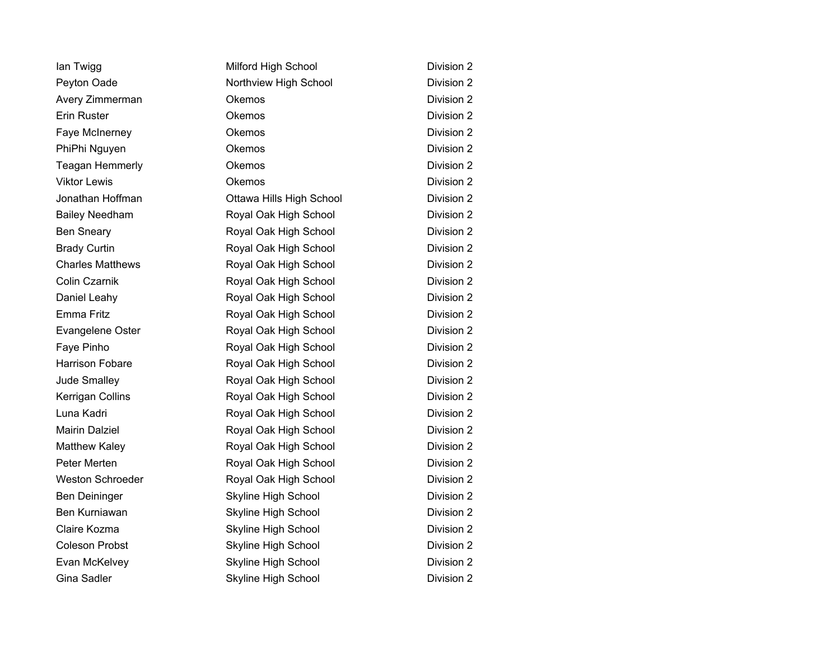| lan Twigg               | Milford High School        | Division 2 |
|-------------------------|----------------------------|------------|
| Peyton Oade             | Northview High School      | Division 2 |
| Avery Zimmerman         | Okemos                     | Division 2 |
| Erin Ruster             | Okemos                     | Division 2 |
| Faye McInerney          | Okemos                     | Division 2 |
| PhiPhi Nguyen           | Okemos                     | Division 2 |
| <b>Teagan Hemmerly</b>  | Okemos                     | Division 2 |
| <b>Viktor Lewis</b>     | Okemos                     | Division 2 |
| Jonathan Hoffman        | Ottawa Hills High School   | Division 2 |
| <b>Bailey Needham</b>   | Royal Oak High School      | Division 2 |
| <b>Ben Sneary</b>       | Royal Oak High School      | Division 2 |
| <b>Brady Curtin</b>     | Royal Oak High School      | Division 2 |
| <b>Charles Matthews</b> | Royal Oak High School      | Division 2 |
| Colin Czarnik           | Royal Oak High School      | Division 2 |
| Daniel Leahy            | Royal Oak High School      | Division 2 |
| Emma Fritz              | Royal Oak High School      | Division 2 |
| Evangelene Oster        | Royal Oak High School      | Division 2 |
| Faye Pinho              | Royal Oak High School      | Division 2 |
| <b>Harrison Fobare</b>  | Royal Oak High School      | Division 2 |
| Jude Smalley            | Royal Oak High School      | Division 2 |
| Kerrigan Collins        | Royal Oak High School      | Division 2 |
| Luna Kadri              | Royal Oak High School      | Division 2 |
| <b>Mairin Dalziel</b>   | Royal Oak High School      | Division 2 |
| Matthew Kaley           | Royal Oak High School      | Division 2 |
| Peter Merten            | Royal Oak High School      | Division 2 |
| Weston Schroeder        | Royal Oak High School      | Division 2 |
| Ben Deininger           | Skyline High School        | Division 2 |
| Ben Kurniawan           | Skyline High School        | Division 2 |
| Claire Kozma            | Skyline High School        | Division 2 |
| <b>Coleson Probst</b>   | Skyline High School        | Division 2 |
| Evan McKelvey           | <b>Skyline High School</b> | Division 2 |
| Gina Sadler             | Skyline High School        | Division 2 |